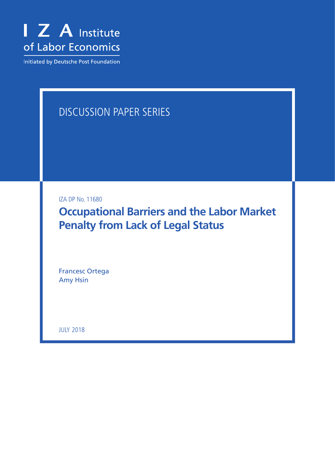

Initiated by Deutsche Post Foundation

## DISCUSSION PAPER SERIES

IZA DP No. 11680

**Occupational Barriers and the Labor Market Penalty from Lack of Legal Status**

Francesc Ortega Amy Hsin

JULY 2018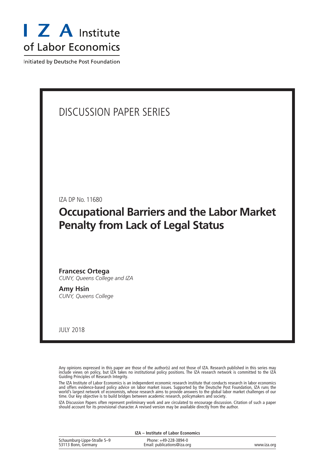

Initiated by Deutsche Post Foundation

## DISCUSSION PAPER SERIES

IZA DP No. 11680

**Occupational Barriers and the Labor Market Penalty from Lack of Legal Status**

## **Francesc Ortega**

*CUNY, Queens College and IZA*

**Amy Hsin** *CUNY, Queens College*

JULY 2018

Any opinions expressed in this paper are those of the author(s) and not those of IZA. Research published in this series may include views on policy, but IZA takes no institutional policy positions. The IZA research network is committed to the IZA Guiding Principles of Research Integrity.

The IZA Institute of Labor Economics is an independent economic research institute that conducts research in labor economics and offers evidence-based policy advice on labor market issues. Supported by the Deutsche Post Foundation, IZA runs the world's largest network of economists, whose research aims to provide answers to the global labor market challenges of our time. Our key objective is to build bridges between academic research, policymakers and society.

IZA Discussion Papers often represent preliminary work and are circulated to encourage discussion. Citation of such a paper should account for its provisional character. A revised version may be available directly from the author.

| IZA - Institute of Labor Economics                 |                                                      |             |  |  |
|----------------------------------------------------|------------------------------------------------------|-------------|--|--|
| Schaumburg-Lippe-Straße 5–9<br>53113 Bonn, Germany | Phone: +49-228-3894-0<br>Email: publications@iza.org | www.iza.org |  |  |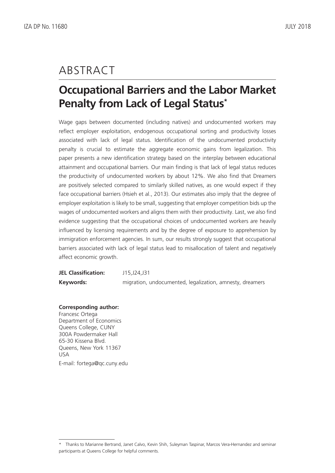## ABSTRACT

## **Occupational Barriers and the Labor Market Penalty from Lack of Legal Status\***

Wage gaps between documented (including natives) and undocumented workers may reflect employer exploitation, endogenous occupational sorting and productivity losses associated with lack of legal status. Identification of the undocumented productivity penalty is crucial to estimate the aggregate economic gains from legalization. This paper presents a new identification strategy based on the interplay between educational attainment and occupational barriers. Our main finding is that lack of legal status reduces the productivity of undocumented workers by about 12%. We also find that Dreamers are positively selected compared to similarly skilled natives, as one would expect if they face occupational barriers (Hsieh et al., 2013). Our estimates also imply that the degree of employer exploitation is likely to be small, suggesting that employer competition bids up the wages of undocumented workers and aligns them with their productivity. Last, we also find evidence suggesting that the occupational choices of undocumented workers are heavily influenced by licensing requirements and by the degree of exposure to apprehension by immigration enforcement agencies. In sum, our results strongly suggest that occupational barriers associated with lack of legal status lead to misallocation of talent and negatively affect economic growth.

| <b>JEL Classification:</b> | J15,J24,J31                                              |
|----------------------------|----------------------------------------------------------|
| Keywords:                  | migration, undocumented, legalization, amnesty, dreamers |

#### **Corresponding author:**

Francesc Ortega Department of Economics Queens College, CUNY 300A Powdermaker Hall 65-30 Kissena Blvd. Queens, New York 11367 USA E-mail: fortega@qc.cuny.edu

<sup>\*</sup> Thanks to Marianne Bertrand, Janet Calvo, Kevin Shih, Suleyman Taspinar, Marcos Vera-Hernandez and seminar participants at Queens College for helpful comments.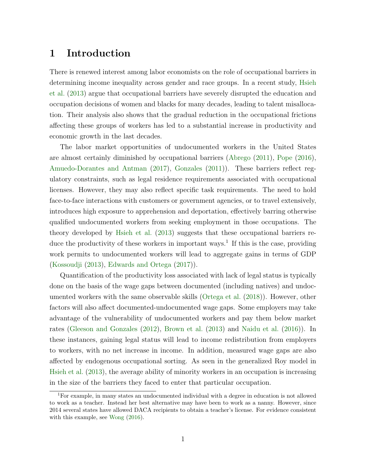## 1 Introduction

There is renewed interest among labor economists on the role of occupational barriers in determining income inequality across gender and race groups. In a recent study, [Hsieh](#page-24-0) [et al.](#page-24-0) [\(2013\)](#page-24-0) argue that occupational barriers have severely disrupted the education and occupation decisions of women and blacks for many decades, leading to talent misallocation. Their analysis also shows that the gradual reduction in the occupational frictions affecting these groups of workers has led to a substantial increase in productivity and economic growth in the last decades.

The labor market opportunities of undocumented workers in the United States are almost certainly diminished by occupational barriers [\(Abrego](#page-23-0) [\(2011\)](#page-23-0), [Pope](#page-25-0) [\(2016\)](#page-25-0), [Amuedo-Dorantes and Antman](#page-23-1) [\(2017\)](#page-23-1), [Gonzales](#page-24-1) [\(2011\)](#page-24-1)). These barriers reflect regulatory constraints, such as legal residence requirements associated with occupational licenses. However, they may also reflect specific task requirements. The need to hold face-to-face interactions with customers or government agencies, or to travel extensively, introduces high exposure to apprehension and deportation, effectively barring otherwise qualified undocumented workers from seeking employment in those occupations. The theory developed by [Hsieh et al.](#page-24-0) [\(2013\)](#page-24-0) suggests that these occupational barriers reduce the productivity of these workers in important ways.<sup>1</sup> If this is the case, providing work permits to undocumented workers will lead to aggregate gains in terms of GDP [\(Kossoudji](#page-24-2) [\(2013\)](#page-24-2), [Edwards and Ortega](#page-24-3) [\(2017\)](#page-24-3)).

Quantification of the productivity loss associated with lack of legal status is typically done on the basis of the wage gaps between documented (including natives) and undocumented workers with the same observable skills [\(Ortega et al.](#page-25-1) [\(2018\)](#page-25-1)). However, other factors will also affect documented-undocumented wage gaps. Some employers may take advantage of the vulnerability of undocumented workers and pay them below market rates [\(Gleeson and Gonzales](#page-24-4) [\(2012\)](#page-24-4), [Brown et al.](#page-23-2) [\(2013\)](#page-23-2) and [Naidu et al.](#page-25-2) [\(2016\)](#page-25-2)). In these instances, gaining legal status will lead to income redistribution from employers to workers, with no net increase in income. In addition, measured wage gaps are also affected by endogenous occupational sorting. As seen in the generalized Roy model in [Hsieh et al.](#page-24-0) [\(2013\)](#page-24-0), the average ability of minority workers in an occupation is increasing in the size of the barriers they faced to enter that particular occupation.

<sup>1</sup>For example, in many states an undocumented individual with a degree in education is not allowed to work as a teacher. Instead her best alternative may have been to work as a nanny. However, since 2014 several states have allowed DACA recipients to obtain a teacher's license. For evidence consistent with this example, see [Wong](#page-25-3) [\(2016\)](#page-25-3).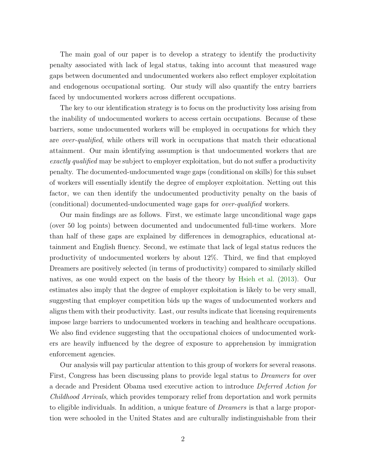The main goal of our paper is to develop a strategy to identify the productivity penalty associated with lack of legal status, taking into account that measured wage gaps between documented and undocumented workers also reflect employer exploitation and endogenous occupational sorting. Our study will also quantify the entry barriers faced by undocumented workers across different occupations.

The key to our identification strategy is to focus on the productivity loss arising from the inability of undocumented workers to access certain occupations. Because of these barriers, some undocumented workers will be employed in occupations for which they are over-qualified, while others will work in occupations that match their educational attainment. Our main identifying assumption is that undocumented workers that are exactly qualified may be subject to employer exploitation, but do not suffer a productivity penalty. The documented-undocumented wage gaps (conditional on skills) for this subset of workers will essentially identify the degree of employer exploitation. Netting out this factor, we can then identify the undocumented productivity penalty on the basis of (conditional) documented-undocumented wage gaps for over-qualified workers.

Our main findings are as follows. First, we estimate large unconditional wage gaps (over 50 log points) between documented and undocumented full-time workers. More than half of these gaps are explained by differences in demographics, educational attainment and English fluency. Second, we estimate that lack of legal status reduces the productivity of undocumented workers by about 12%. Third, we find that employed Dreamers are positively selected (in terms of productivity) compared to similarly skilled natives, as one would expect on the basis of the theory by [Hsieh et al.](#page-24-0) [\(2013\)](#page-24-0). Our estimates also imply that the degree of employer exploitation is likely to be very small, suggesting that employer competition bids up the wages of undocumented workers and aligns them with their productivity. Last, our results indicate that licensing requirements impose large barriers to undocumented workers in teaching and healthcare occupations. We also find evidence suggesting that the occupational choices of undocumented workers are heavily influenced by the degree of exposure to apprehension by immigration enforcement agencies.

Our analysis will pay particular attention to this group of workers for several reasons. First, Congress has been discussing plans to provide legal status to Dreamers for over a decade and President Obama used executive action to introduce Deferred Action for Childhood Arrivals, which provides temporary relief from deportation and work permits to eligible individuals. In addition, a unique feature of Dreamers is that a large proportion were schooled in the United States and are culturally indistinguishable from their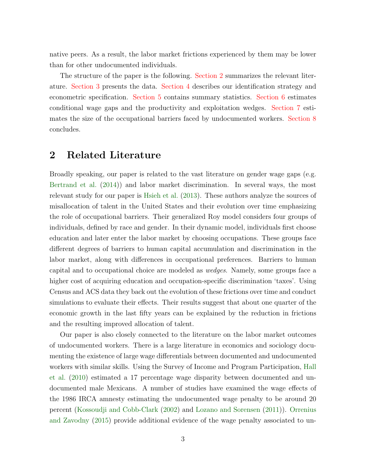native peers. As a result, the labor market frictions experienced by them may be lower than for other undocumented individuals.

The structure of the paper is the following. [Section 2](#page-5-0) summarizes the relevant literature. [Section 3](#page-7-0) presents the data. [Section 4](#page-8-0) describes our identification strategy and econometric specification. [Section 5](#page-12-0) contains summary statistics. [Section 6](#page-14-0) estimates conditional wage gaps and the productivity and exploitation wedges. [Section 7](#page-18-0) estimates the size of the occupational barriers faced by undocumented workers. [Section 8](#page-21-0) concludes.

### <span id="page-5-0"></span>2 Related Literature

Broadly speaking, our paper is related to the vast literature on gender wage gaps (e.g. [Bertrand et al.](#page-23-3) [\(2014\)](#page-23-3)) and labor market discrimination. In several ways, the most relevant study for our paper is [Hsieh et al.](#page-24-0) [\(2013\)](#page-24-0). These authors analyze the sources of misallocation of talent in the United States and their evolution over time emphasizing the role of occupational barriers. Their generalized Roy model considers four groups of individuals, defined by race and gender. In their dynamic model, individuals first choose education and later enter the labor market by choosing occupations. These groups face different degrees of barriers to human capital accumulation and discrimination in the labor market, along with differences in occupational preferences. Barriers to human capital and to occupational choice are modeled as wedges. Namely, some groups face a higher cost of acquiring education and occupation-specific discrimination 'taxes'. Using Census and ACS data they back out the evolution of these frictions over time and conduct simulations to evaluate their effects. Their results suggest that about one quarter of the economic growth in the last fifty years can be explained by the reduction in frictions and the resulting improved allocation of talent.

Our paper is also closely connected to the literature on the labor market outcomes of undocumented workers. There is a large literature in economics and sociology documenting the existence of large wage differentials between documented and undocumented workers with similar skills. Using the Survey of Income and Program Participation, [Hall](#page-24-5) [et al.](#page-24-5) [\(2010\)](#page-24-5) estimated a 17 percentage wage disparity between documented and undocumented male Mexicans. A number of studies have examined the wage effects of the 1986 IRCA amnesty estimating the undocumented wage penalty to be around 20 percent [\(Kossoudji and Cobb-Clark](#page-24-6) [\(2002\)](#page-24-6) and [Lozano and Sorensen](#page-24-7) [\(2011\)](#page-24-7)). [Orrenius](#page-25-4) [and Zavodny](#page-25-4) [\(2015\)](#page-25-4) provide additional evidence of the wage penalty associated to un-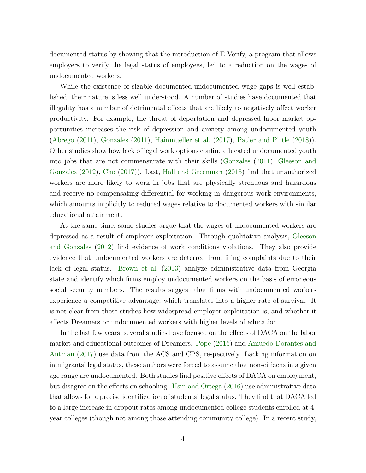documented status by showing that the introduction of E-Verify, a program that allows employers to verify the legal status of employees, led to a reduction on the wages of undocumented workers.

While the existence of sizable documented-undocumented wage gaps is well established, their nature is less well understood. A number of studies have documented that illegality has a number of detrimental effects that are likely to negatively affect worker productivity. For example, the threat of deportation and depressed labor market opportunities increases the risk of depression and anxiety among undocumented youth [\(Abrego](#page-23-0) [\(2011\)](#page-23-0), [Gonzales](#page-24-1) [\(2011\)](#page-24-1), [Hainmueller et al.](#page-24-8) [\(2017\)](#page-24-8), [Patler and Pirtle](#page-25-5) [\(2018\)](#page-25-5)). Other studies show how lack of legal work options confine educated undocumented youth into jobs that are not commensurate with their skills [\(Gonzales](#page-24-1) [\(2011\)](#page-24-1), [Gleeson and](#page-24-4) [Gonzales](#page-24-4) [\(2012\)](#page-24-4), [Cho](#page-23-4) [\(2017\)](#page-23-4)). Last, [Hall and Greenman](#page-24-9) [\(2015\)](#page-24-9) find that unauthorized workers are more likely to work in jobs that are physically strenuous and hazardous and receive no compensating differential for working in dangerous work environments, which amounts implicitly to reduced wages relative to documented workers with similar educational attainment.

At the same time, some studies argue that the wages of undocumented workers are depressed as a result of employer exploitation. Through qualitative analysis, [Gleeson](#page-24-4) [and Gonzales](#page-24-4) [\(2012\)](#page-24-4) find evidence of work conditions violations. They also provide evidence that undocumented workers are deterred from filing complaints due to their lack of legal status. [Brown et al.](#page-23-2) [\(2013\)](#page-23-2) analyze administrative data from Georgia state and identify which firms employ undocumented workers on the basis of erroneous social security numbers. The results suggest that firms with undocumented workers experience a competitive advantage, which translates into a higher rate of survival. It is not clear from these studies how widespread employer exploitation is, and whether it affects Dreamers or undocumented workers with higher levels of education.

In the last few years, several studies have focused on the effects of DACA on the labor market and educational outcomes of Dreamers. [Pope](#page-25-0) [\(2016\)](#page-25-0) and [Amuedo-Dorantes and](#page-23-1) [Antman](#page-23-1) [\(2017\)](#page-23-1) use data from the ACS and CPS, respectively. Lacking information on immigrants' legal status, these authors were forced to assume that non-citizens in a given age range are undocumented. Both studies find positive effects of DACA on employment, but disagree on the effects on schooling. [Hsin and Ortega](#page-24-10) [\(2016\)](#page-24-10) use administrative data that allows for a precise identification of students' legal status. They find that DACA led to a large increase in dropout rates among undocumented college students enrolled at 4 year colleges (though not among those attending community college). In a recent study,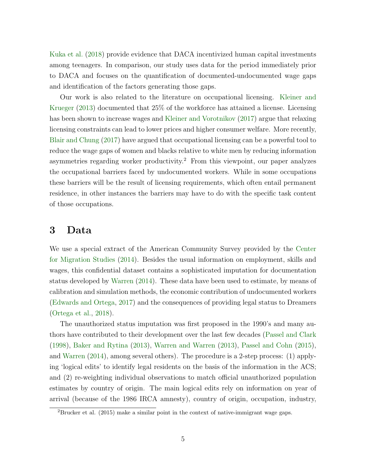[Kuka et al.](#page-24-11) [\(2018\)](#page-24-11) provide evidence that DACA incentivized human capital investments among teenagers. In comparison, our study uses data for the period immediately prior to DACA and focuses on the quantification of documented-undocumented wage gaps and identification of the factors generating those gaps.

Our work is also related to the literature on occupational licensing. [Kleiner and](#page-24-12) [Krueger](#page-24-12) [\(2013\)](#page-24-12) documented that 25% of the workforce has attained a license. Licensing has been shown to increase wages and [Kleiner and Vorotnikov](#page-24-13) [\(2017\)](#page-24-13) argue that relaxing licensing constraints can lead to lower prices and higher consumer welfare. More recently, [Blair and Chung](#page-23-5) [\(2017\)](#page-23-5) have argued that occupational licensing can be a powerful tool to reduce the wage gaps of women and blacks relative to white men by reducing information asymmetries regarding worker productivity.<sup>2</sup> From this viewpoint, our paper analyzes the occupational barriers faced by undocumented workers. While in some occupations these barriers will be the result of licensing requirements, which often entail permanent residence, in other instances the barriers may have to do with the specific task content of those occupations.

## <span id="page-7-0"></span>3 Data

We use a special extract of the American Community Survey provided by the [Center](#page-23-6) [for Migration Studies](#page-23-6) [\(2014\)](#page-23-6). Besides the usual information on employment, skills and wages, this confidential dataset contains a sophisticated imputation for documentation status developed by [Warren](#page-25-6) [\(2014\)](#page-25-6). These data have been used to estimate, by means of calibration and simulation methods, the economic contribution of undocumented workers [\(Edwards and Ortega,](#page-24-3) [2017\)](#page-24-3) and the consequences of providing legal status to Dreamers [\(Ortega et al.,](#page-25-1) [2018\)](#page-25-1).

The unauthorized status imputation was first proposed in the 1990's and many authors have contributed to their development over the last few decades [\(Passel and Clark](#page-25-7) [\(1998\)](#page-25-7), [Baker and Rytina](#page-23-7) [\(2013\)](#page-23-7), [Warren and Warren](#page-25-8) [\(2013\)](#page-25-8), [Passel and Cohn](#page-25-9) [\(2015\)](#page-25-9), and [Warren](#page-25-6) [\(2014\)](#page-25-6), among several others). The procedure is a 2-step process: (1) applying 'logical edits' to identify legal residents on the basis of the information in the ACS; and (2) re-weighting individual observations to match official unauthorized population estimates by country of origin. The main logical edits rely on information on year of arrival (because of the 1986 IRCA amnesty), country of origin, occupation, industry,

 ${}^{2}$ Brucker et al. (2015) make a similar point in the context of native-immigrant wage gaps.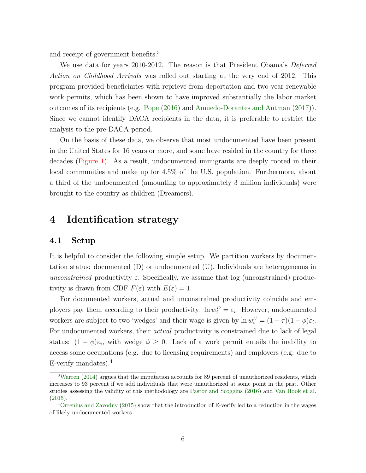and receipt of government benefits.<sup>3</sup>

We use data for years 2010-2012. The reason is that President Obama's Deferred Action on Childhood Arrivals was rolled out starting at the very end of 2012. This program provided beneficiaries with reprieve from deportation and two-year renewable work permits, which has been shown to have improved substantially the labor market outcomes of its recipients (e.g. [Pope](#page-25-0) [\(2016\)](#page-25-0) and [Amuedo-Dorantes and Antman](#page-23-1) [\(2017\)](#page-23-1)). Since we cannot identify DACA recipients in the data, it is preferable to restrict the analysis to the pre-DACA period.

On the basis of these data, we observe that most undocumented have been present in the United States for 16 years or more, and some have resided in the country for three decades [\(Figure 1\)](#page-26-0). As a result, undocumented immigrants are deeply rooted in their local communities and make up for 4.5% of the U.S. population. Furthermore, about a third of the undocumented (amounting to approximately 3 million individuals) were brought to the country as children (Dreamers).

### <span id="page-8-0"></span>4 Identification strategy

#### 4.1 Setup

It is helpful to consider the following simple setup. We partition workers by documentation status: documented (D) or undocumented (U). Individuals are heterogeneous in unconstrained productivity  $\varepsilon$ . Specifically, we assume that log (unconstrained) productivity is drawn from CDF  $F(\varepsilon)$  with  $E(\varepsilon) = 1$ .

For documented workers, actual and unconstrained productivity coincide and employers pay them according to their productivity:  $\ln w_i^D = \varepsilon_i$ . However, undocumented workers are subject to two 'wedges' and their wage is given by  $\ln w_i^U = (1 - \tau)(1 - \phi)\varepsilon_i$ . For undocumented workers, their actual productivity is constrained due to lack of legal status:  $(1 - \phi)\varepsilon_i$ , with wedge  $\phi \geq 0$ . Lack of a work permit entails the inability to access some occupations (e.g. due to licensing requirements) and employers (e.g. due to E-verify mandates).<sup>4</sup>

<sup>&</sup>lt;sup>3</sup>[Warren](#page-25-6) [\(2014\)](#page-25-6) argues that the imputation accounts for 89 percent of unauthorized residents, which increases to 93 percent if we add individuals that were unauthorized at some point in the past. Other studies assessing the validity of this methodology are [Pastor and Scoggins](#page-25-10) [\(2016\)](#page-25-10) and [Van Hook et al.](#page-25-11) [\(2015\)](#page-25-11).

<sup>&</sup>lt;sup>4</sup>[Orrenius and Zavodny](#page-25-4) [\(2015\)](#page-25-4) show that the introduction of E-verify led to a reduction in the wages of likely undocumented workers.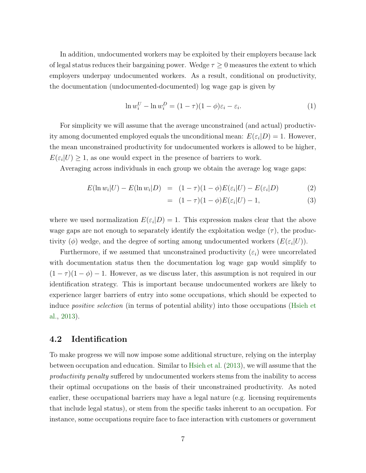In addition, undocumented workers may be exploited by their employers because lack of legal status reduces their bargaining power. Wedge  $\tau \geq 0$  measures the extent to which employers underpay undocumented workers. As a result, conditional on productivity, the documentation (undocumented-documented) log wage gap is given by

$$
\ln w_i^U - \ln w_i^D = (1 - \tau)(1 - \phi)\varepsilon_i - \varepsilon_i.
$$
\n(1)

For simplicity we will assume that the average unconstrained (and actual) productivity among documented employed equals the unconditional mean:  $E(\varepsilon_i|D) = 1$ . However, the mean unconstrained productivity for undocumented workers is allowed to be higher,  $E(\varepsilon_i|U) \geq 1$ , as one would expect in the presence of barriers to work.

Averaging across individuals in each group we obtain the average log wage gaps:

$$
E(\ln w_i|U) - E(\ln w_i|D) = (1 - \tau)(1 - \phi)E(\varepsilon_i|U) - E(\varepsilon_i|D)
$$
\n(2)

$$
= (1 - \tau)(1 - \phi)E(\varepsilon_i|U) - 1,\tag{3}
$$

where we used normalization  $E(\varepsilon_i|D) = 1$ . This expression makes clear that the above wage gaps are not enough to separately identify the exploitation wedge  $(\tau)$ , the productivity ( $\phi$ ) wedge, and the degree of sorting among undocumented workers  $(E(\varepsilon_i|U)).$ 

Furthermore, if we assumed that unconstrained productivity  $(\varepsilon_i)$  were uncorrelated with documentation status then the documentation log wage gap would simplify to  $(1 - \tau)(1 - \phi) - 1$ . However, as we discuss later, this assumption is not required in our identification strategy. This is important because undocumented workers are likely to experience larger barriers of entry into some occupations, which should be expected to induce positive selection (in terms of potential ability) into those occupations [\(Hsieh et](#page-24-0) [al.,](#page-24-0) [2013\)](#page-24-0).

#### 4.2 Identification

To make progress we will now impose some additional structure, relying on the interplay between occupation and education. Similar to [Hsieh et al.](#page-24-0) [\(2013\)](#page-24-0), we will assume that the productivity penalty suffered by undocumented workers stems from the inability to access their optimal occupations on the basis of their unconstrained productivity. As noted earlier, these occupational barriers may have a legal nature (e.g. licensing requirements that include legal status), or stem from the specific tasks inherent to an occupation. For instance, some occupations require face to face interaction with customers or government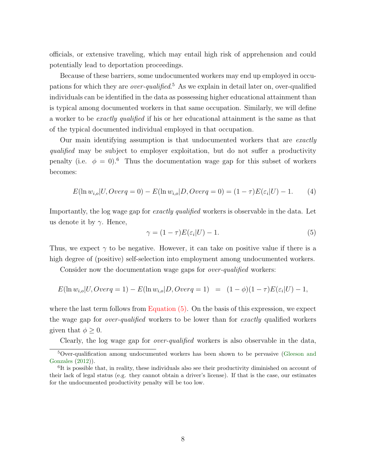officials, or extensive traveling, which may entail high risk of apprehension and could potentially lead to deportation proceedings.

Because of these barriers, some undocumented workers may end up employed in occupations for which they are *over-qualified*.<sup>5</sup> As we explain in detail later on, over-qualified individuals can be identified in the data as possessing higher educational attainment than is typical among documented workers in that same occupation. Similarly, we will define a worker to be exactly qualified if his or her educational attainment is the same as that of the typical documented individual employed in that occupation.

Our main identifying assumption is that undocumented workers that are exactly qualified may be subject to employer exploitation, but do not suffer a productivity penalty (i.e.  $\phi = 0$ ).<sup>6</sup> Thus the documentation wage gap for this subset of workers becomes:

$$
E(\ln w_{i,o} | U, Overq = 0) - E(\ln w_{i,o} | D, Overq = 0) = (1 - \tau)E(\varepsilon_i | U) - 1.
$$
 (4)

Importantly, the log wage gap for exactly qualified workers is observable in the data. Let us denote it by  $\gamma$ . Hence,

<span id="page-10-0"></span>
$$
\gamma = (1 - \tau)E(\varepsilon_i|U) - 1.
$$
\n(5)

Thus, we expect  $\gamma$  to be negative. However, it can take on positive value if there is a high degree of (positive) self-selection into employment among undocumented workers.

Consider now the documentation wage gaps for *over-qualified* workers:

$$
E(\ln w_{i,o} | U, Overq = 1) - E(\ln w_{i,o} | D, Overq = 1) = (1 - \phi)(1 - \tau)E(\varepsilon_i | U) - 1,
$$

where the last term follows from [Equation \(5\).](#page-10-0) On the basis of this expression, we expect the wage gap for over-qualified workers to be lower than for exactly qualified workers given that  $\phi \geq 0$ .

Clearly, the log wage gap for over-qualified workers is also observable in the data,

<sup>5</sup>Over-qualification among undocumented workers has been shown to be pervasive [\(Gleeson and](#page-24-4) [Gonzales](#page-24-4) [\(2012\)](#page-24-4)).

<sup>&</sup>lt;sup>6</sup>It is possible that, in reality, these individuals also see their productivity diminished on account of their lack of legal status (e.g. they cannot obtain a driver's license). If that is the case, our estimates for the undocumented productivity penalty will be too low.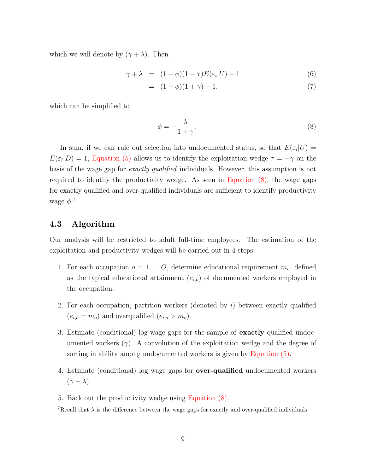which we will denote by  $(\gamma + \lambda)$ . Then

$$
\gamma + \lambda = (1 - \phi)(1 - \tau)E(\varepsilon_i|U) - 1 \tag{6}
$$

$$
= (1 - \phi)(1 + \gamma) - 1,\t(7)
$$

which can be simplified to

<span id="page-11-0"></span>
$$
\phi = -\frac{\lambda}{1 + \gamma}.\tag{8}
$$

In sum, if we can rule out selection into undocumented status, so that  $E(\varepsilon_i|U) =$  $E(\varepsilon_i|D) = 1$ , [Equation \(5\)](#page-10-0) allows us to identify the exploitation wedge  $\tau = -\gamma$  on the basis of the wage gap for exactly qualified individuals. However, this assumption is not required to identify the productivity wedge. As seen in [Equation \(8\),](#page-11-0) the wage gaps for exactly qualified and over-qualified individuals are sufficient to identify productivity wage  $\phi$ <sup>7</sup>

#### 4.3 Algorithm

Our analysis will be restricted to adult full-time employees. The estimation of the exploitation and productivity wedges will be carried out in 4 steps:

- 1. For each occupation  $o = 1, ..., O$ , determine educational requirement  $m_o$ , defined as the typical educational attainment  $(e_{i,o})$  of documented workers employed in the occupation.
- 2. For each occupation, partition workers (denoted by  $i$ ) between exactly qualified  $(e_{i,o} = m_o)$  and overqualified  $(e_{i,o} > m_o)$ .
- 3. Estimate (conditional) log wage gaps for the sample of exactly qualified undocumented workers ( $\gamma$ ). A convolution of the exploitation wedge and the degree of sorting in ability among undocumented workers is given by [Equation \(5\).](#page-10-0)
- 4. Estimate (conditional) log wage gaps for over-qualified undocumented workers  $(\gamma + \lambda).$
- 5. Back out the productivity wedge using [Equation \(8\).](#page-11-0)

<sup>&</sup>lt;sup>7</sup>Recall that  $\lambda$  is the difference between the wage gaps for exactly and over-qualified individuals.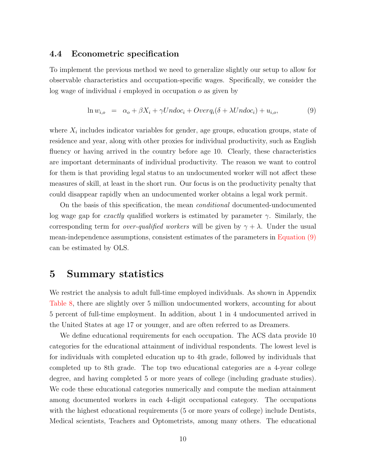#### 4.4 Econometric specification

To implement the previous method we need to generalize slightly our setup to allow for observable characteristics and occupation-specific wages. Specifically, we consider the log wage of individual i employed in occupation  $\sigma$  as given by

<span id="page-12-1"></span>
$$
\ln w_{i,o} = \alpha_o + \beta X_i + \gamma Undoc_i + Overq_i(\delta + \lambda Undoc_i) + u_{i,o},
$$
\n(9)

where  $X_i$  includes indicator variables for gender, age groups, education groups, state of residence and year, along with other proxies for individual productivity, such as English fluency or having arrived in the country before age 10. Clearly, these characteristics are important determinants of individual productivity. The reason we want to control for them is that providing legal status to an undocumented worker will not affect these measures of skill, at least in the short run. Our focus is on the productivity penalty that could disappear rapidly when an undocumented worker obtains a legal work permit.

On the basis of this specification, the mean conditional documented-undocumented log wage gap for *exactly* qualified workers is estimated by parameter  $\gamma$ . Similarly, the corresponding term for *over-qualified workers* will be given by  $\gamma + \lambda$ . Under the usual mean-independence assumptions, consistent estimates of the parameters in [Equation \(9\)](#page-12-1) can be estimated by OLS.

### <span id="page-12-0"></span>5 Summary statistics

We restrict the analysis to adult full-time employed individuals. As shown in Appendix [Table 8,](#page-33-0) there are slightly over 5 million undocumented workers, accounting for about 5 percent of full-time employment. In addition, about 1 in 4 undocumented arrived in the United States at age 17 or younger, and are often referred to as Dreamers.

We define educational requirements for each occupation. The ACS data provide 10 categories for the educational attainment of individual respondents. The lowest level is for individuals with completed education up to 4th grade, followed by individuals that completed up to 8th grade. The top two educational categories are a 4-year college degree, and having completed 5 or more years of college (including graduate studies). We code these educational categories numerically and compute the median attainment among documented workers in each 4-digit occupational category. The occupations with the highest educational requirements (5 or more years of college) include Dentists, Medical scientists, Teachers and Optometrists, among many others. The educational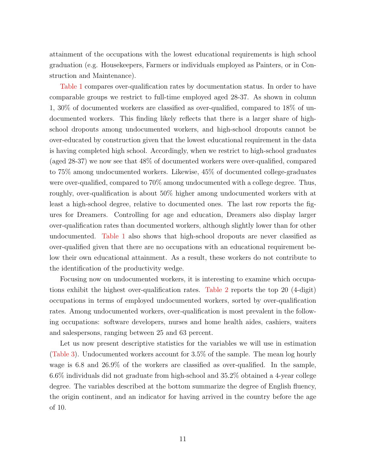attainment of the occupations with the lowest educational requirements is high school graduation (e.g. Housekeepers, Farmers or individuals employed as Painters, or in Construction and Maintenance).

[Table 1](#page-26-1) compares over-qualification rates by documentation status. In order to have comparable groups we restrict to full-time employed aged 28-37. As shown in column 1, 30% of documented workers are classified as over-qualified, compared to 18% of undocumented workers. This finding likely reflects that there is a larger share of highschool dropouts among undocumented workers, and high-school dropouts cannot be over-educated by construction given that the lowest educational requirement in the data is having completed high school. Accordingly, when we restrict to high-school graduates (aged 28-37) we now see that 48% of documented workers were over-qualified, compared to 75% among undocumented workers. Likewise, 45% of documented college-graduates were over-qualified, compared to 70% among undocumented with a college degree. Thus, roughly, over-qualification is about 50% higher among undocumented workers with at least a high-school degree, relative to documented ones. The last row reports the figures for Dreamers. Controlling for age and education, Dreamers also display larger over-qualification rates than documented workers, although slightly lower than for other undocumented. [Table 1](#page-26-1) also shows that high-school dropouts are never classified as over-qualified given that there are no occupations with an educational requirement below their own educational attainment. As a result, these workers do not contribute to the identification of the productivity wedge.

Focusing now on undocumented workers, it is interesting to examine which occupations exhibit the highest over-qualification rates. [Table 2](#page-27-0) reports the top 20 (4-digit) occupations in terms of employed undocumented workers, sorted by over-qualification rates. Among undocumented workers, over-qualification is most prevalent in the following occupations: software developers, nurses and home health aides, cashiers, waiters and salespersons, ranging between 25 and 63 percent.

Let us now present descriptive statistics for the variables we will use in estimation [\(Table 3\)](#page-28-0). Undocumented workers account for 3.5% of the sample. The mean log hourly wage is 6.8 and 26.9% of the workers are classified as over-qualified. In the sample, 6.6% individuals did not graduate from high-school and 35.2% obtained a 4-year college degree. The variables described at the bottom summarize the degree of English fluency, the origin continent, and an indicator for having arrived in the country before the age of 10.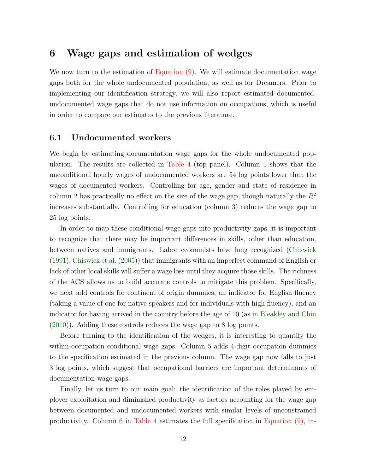## <span id="page-14-0"></span>6 Wage gaps and estimation of wedges

We now turn to the estimation of [Equation \(9\).](#page-12-1) We will estimate documentation wage gaps both for the whole undocumented population, as well as for Dreamers. Prior to implementing our identification strategy, we will also report estimated documentedundocumented wage gaps that do not use information on occupations, which is useful in order to compare our estimates to the previous literature.

#### 6.1 Undocumented workers

We begin by estimating documentation wage gaps for the whole undocumented population. The results are collected in [Table 4](#page-29-0) (top panel). Column 1 shows that the unconditional hourly wages of undocumented workers are 54 log points lower than the wages of documented workers. Controlling for age, gender and state of residence in column 2 has practically no effect on the size of the wage gap, though naturally the  $R^2$ increases substantially. Controlling for education (column 3) reduces the wage gap to 25 log points.

In order to map these conditional wage gaps into productivity gaps, it is important to recognize that there may be important differences in skills, other than education, between natives and immigrants. Labor economists have long recognized [\(Chiswick](#page-23-8) [\(1991\)](#page-23-8), [Chiswick et al.](#page-23-9) [\(2005\)](#page-23-9)) that immigrants with an imperfect command of English or lack of other local skills will suffer a wage loss until they acquire those skills. The richness of the ACS allows us to build accurate controls to mitigate this problem. Specifically, we next add controls for continent of origin dummies, an indicator for English fluency (taking a value of one for native speakers and for individuals with high fluency), and an indicator for having arrived in the country before the age of 10 (as in [Bleakley and Chin](#page-23-10) [\(2010\)](#page-23-10)). Adding these controls reduces the wage gap to 8 log points.

Before turning to the identification of the wedges, it is interesting to quantify the within-occupation conditional wage gaps. Column 5 adds 4-digit occupation dummies to the specification estimated in the previous column. The wage gap now falls to just 3 log points, which suggest that occupational barriers are important determinants of documentation wage gaps.

Finally, let us turn to our main goal: the identification of the roles played by employer exploitation and diminished productivity as factors accounting for the wage gap between documented and undocumented workers with similar levels of unconstrained productivity. Column 6 in [Table 4](#page-29-0) estimates the full specification in Equation  $(9)$ , in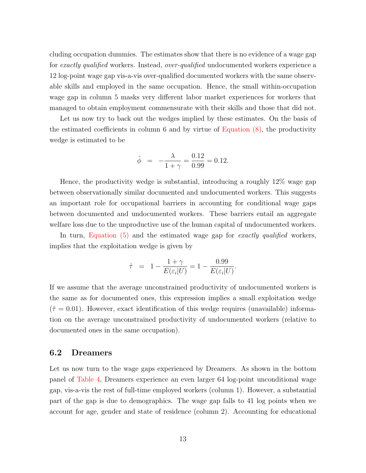cluding occupation dummies. The estimates show that there is no evidence of a wage gap for exactly qualified workers. Instead, over-qualified undocumented workers experience a 12 log-point wage gap vis-a-vis over-qualified documented workers with the same observable skills and employed in the same occupation. Hence, the small within-occupation wage gap in column 5 masks very different labor market experiences for workers that managed to obtain employment commensurate with their skills and those that did not.

Let us now try to back out the wedges implied by these estimates. On the basis of the estimated coefficients in column 6 and by virtue of [Equation \(8\),](#page-11-0) the productivity wedge is estimated to be

$$
\hat{\phi} = -\frac{\lambda}{1+\gamma} = \frac{0.12}{0.99} = 0.12.
$$

Hence, the productivity wedge is substantial, introducing a roughly 12% wage gap between observationally similar documented and undocumented workers. This suggests an important role for occupational barriers in accounting for conditional wage gaps between documented and undocumented workers. These barriers entail an aggregate welfare loss due to the unproductive use of the human capital of undocumented workers.

In turn, [Equation \(5\)](#page-10-0) and the estimated wage gap for exactly qualified workers, implies that the exploitation wedge is given by

$$
\hat{\tau} = 1 - \frac{1+\gamma}{E(\varepsilon_i|U)} = 1 - \frac{0.99}{E(\varepsilon_i|U)}.
$$

If we assume that the average unconstrained productivity of undocumented workers is the same as for documented ones, this expression implies a small exploitation wedge  $(\hat{\tau} = 0.01)$ . However, exact identification of this wedge requires (unavailable) information on the average unconstrained productivity of undocumented workers (relative to documented ones in the same occupation).

#### 6.2 Dreamers

Let us now turn to the wage gaps experienced by Dreamers. As shown in the bottom panel of [Table 4,](#page-29-0) Dreamers experience an even larger 64 log-point unconditional wage gap, vis-a-vis the rest of full-time employed workers (column 1). However, a substantial part of the gap is due to demographics. The wage gap falls to 41 log points when we account for age, gender and state of residence (column 2). Accounting for educational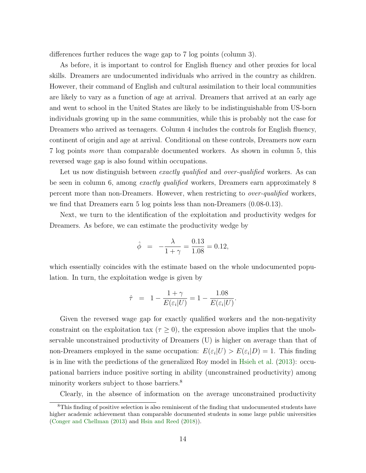differences further reduces the wage gap to 7 log points (column 3).

As before, it is important to control for English fluency and other proxies for local skills. Dreamers are undocumented individuals who arrived in the country as children. However, their command of English and cultural assimilation to their local communities are likely to vary as a function of age at arrival. Dreamers that arrived at an early age and went to school in the United States are likely to be indistinguishable from US-born individuals growing up in the same communities, while this is probably not the case for Dreamers who arrived as teenagers. Column 4 includes the controls for English fluency, continent of origin and age at arrival. Conditional on these controls, Dreamers now earn 7 log points more than comparable documented workers. As shown in column 5, this reversed wage gap is also found within occupations.

Let us now distinguish between *exactly qualified* and *over-qualified* workers. As can be seen in column 6, among *exactly qualified* workers, Dreamers earn approximately 8 percent more than non-Dreamers. However, when restricting to over-qualified workers, we find that Dreamers earn 5 log points less than non-Dreamers (0.08-0.13).

Next, we turn to the identification of the exploitation and productivity wedges for Dreamers. As before, we can estimate the productivity wedge by

$$
\hat{\phi} = -\frac{\lambda}{1+\gamma} = \frac{0.13}{1.08} = 0.12,
$$

which essentially coincides with the estimate based on the whole undocumented population. In turn, the exploitation wedge is given by

$$
\hat{\tau} = 1 - \frac{1+\gamma}{E(\varepsilon_i|U)} = 1 - \frac{1.08}{E(\varepsilon_i|U)}.
$$

Given the reversed wage gap for exactly qualified workers and the non-negativity constraint on the exploitation tax  $(\tau \geq 0)$ , the expression above implies that the unobservable unconstrained productivity of Dreamers (U) is higher on average than that of non-Dreamers employed in the same occupation:  $E(\varepsilon_i|U) > E(\varepsilon_i|D) = 1$ . This finding is in line with the predictions of the generalized Roy model in [Hsieh et al.](#page-24-0) [\(2013\)](#page-24-0): occupational barriers induce positive sorting in ability (unconstrained productivity) among minority workers subject to those barriers.<sup>8</sup>

Clearly, in the absence of information on the average unconstrained productivity

<sup>8</sup>This finding of positive selection is also reminiscent of the finding that undocumented students have higher academic achievement than comparable documented students in some large public universities [\(Conger and Chellman](#page-23-11) [\(2013\)](#page-23-11) and [Hsin and Reed](#page-24-14) [\(2018\)](#page-24-14)).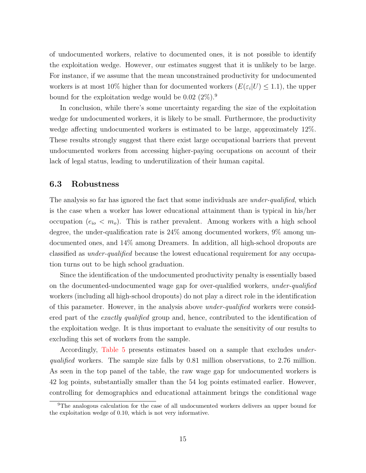of undocumented workers, relative to documented ones, it is not possible to identify the exploitation wedge. However, our estimates suggest that it is unlikely to be large. For instance, if we assume that the mean unconstrained productivity for undocumented workers is at most 10% higher than for documented workers  $(E(\varepsilon_i|U) \leq 1.1)$ , the upper bound for the exploitation wedge would be 0.02  $(2\%)$ .

In conclusion, while there's some uncertainty regarding the size of the exploitation wedge for undocumented workers, it is likely to be small. Furthermore, the productivity wedge affecting undocumented workers is estimated to be large, approximately 12%. These results strongly suggest that there exist large occupational barriers that prevent undocumented workers from accessing higher-paying occupations on account of their lack of legal status, leading to underutilization of their human capital.

#### 6.3 Robustness

The analysis so far has ignored the fact that some individuals are *under-qualified*, which is the case when a worker has lower educational attainment than is typical in his/her occupation  $(e_{io} < m_o)$ . This is rather prevalent. Among workers with a high school degree, the under-qualification rate is 24% among documented workers, 9% among undocumented ones, and 14% among Dreamers. In addition, all high-school dropouts are classified as under-qualified because the lowest educational requirement for any occupation turns out to be high school graduation.

Since the identification of the undocumented productivity penalty is essentially based on the documented-undocumented wage gap for over-qualified workers, under-qualified workers (including all high-school dropouts) do not play a direct role in the identification of this parameter. However, in the analysis above under-qualified workers were considered part of the *exactly qualified* group and, hence, contributed to the identification of the exploitation wedge. It is thus important to evaluate the sensitivity of our results to excluding this set of workers from the sample.

Accordingly, [Table 5](#page-30-0) presents estimates based on a sample that excludes underqualified workers. The sample size falls by 0.81 million observations, to 2.76 million. As seen in the top panel of the table, the raw wage gap for undocumented workers is 42 log points, substantially smaller than the 54 log points estimated earlier. However, controlling for demographics and educational attainment brings the conditional wage

<sup>9</sup>The analogous calculation for the case of all undocumented workers delivers an upper bound for the exploitation wedge of 0.10, which is not very informative.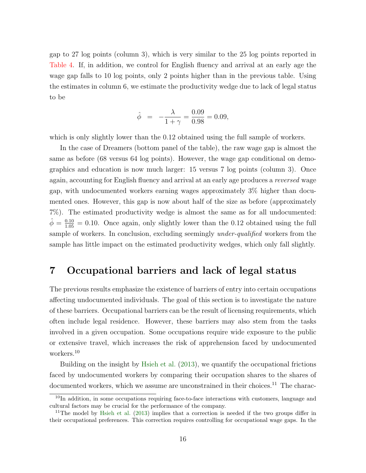gap to 27 log points (column 3), which is very similar to the 25 log points reported in [Table 4.](#page-29-0) If, in addition, we control for English fluency and arrival at an early age the wage gap falls to 10 log points, only 2 points higher than in the previous table. Using the estimates in column 6, we estimate the productivity wedge due to lack of legal status to be

$$
\hat{\phi} = -\frac{\lambda}{1+\gamma} = \frac{0.09}{0.98} = 0.09,
$$

which is only slightly lower than the 0.12 obtained using the full sample of workers.

In the case of Dreamers (bottom panel of the table), the raw wage gap is almost the same as before (68 versus 64 log points). However, the wage gap conditional on demographics and education is now much larger: 15 versus 7 log points (column 3). Once again, accounting for English fluency and arrival at an early age produces a *reversed* wage gap, with undocumented workers earning wages approximately 3% higher than documented ones. However, this gap is now about half of the size as before (approximately 7%). The estimated productivity wedge is almost the same as for all undocumented:  $\hat{\phi} = \frac{0.10}{1.05} = 0.10$ . Once again, only slightly lower than the 0.12 obtained using the full sample of workers. In conclusion, excluding seemingly *under-qualified* workers from the sample has little impact on the estimated productivity wedges, which only fall slightly.

## <span id="page-18-0"></span>7 Occupational barriers and lack of legal status

The previous results emphasize the existence of barriers of entry into certain occupations affecting undocumented individuals. The goal of this section is to investigate the nature of these barriers. Occupational barriers can be the result of licensing requirements, which often include legal residence. However, these barriers may also stem from the tasks involved in a given occupation. Some occupations require wide exposure to the public or extensive travel, which increases the risk of apprehension faced by undocumented workers.<sup>10</sup>

Building on the insight by [Hsieh et al.](#page-24-0) [\(2013\)](#page-24-0), we quantify the occupational frictions faced by undocumented workers by comparing their occupation shares to the shares of documented workers, which we assume are unconstrained in their choices.<sup>11</sup> The charac-

<sup>&</sup>lt;sup>10</sup>In addition, in some occupations requiring face-to-face interactions with customers, language and cultural factors may be crucial for the performance of the company.

<sup>&</sup>lt;sup>11</sup>The model by [Hsieh et al.](#page-24-0)  $(2013)$  implies that a correction is needed if the two groups differ in their occupational preferences. This correction requires controlling for occupational wage gaps. In the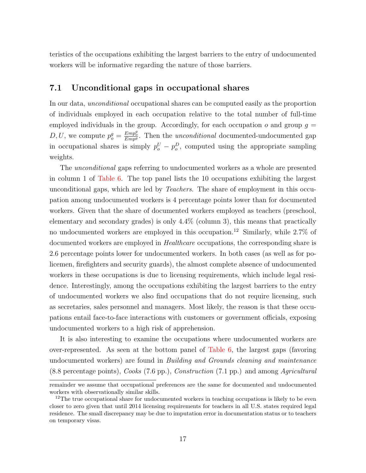teristics of the occupations exhibiting the largest barriers to the entry of undocumented workers will be informative regarding the nature of those barriers.

#### 7.1 Unconditional gaps in occupational shares

In our data, unconditional occupational shares can be computed easily as the proportion of individuals employed in each occupation relative to the total number of full-time employed individuals in the group. Accordingly, for each occupation  $o$  and group  $q =$ D, U, we compute  $p_o^g = \frac{Emp_o^g}{Emp_o^g}$ . Then the *unconditional* documented-undocumented gap in occupational shares is simply  $p_o^U - p_o^D$ , computed using the appropriate sampling weights.

The unconditional gaps referring to undocumented workers as a whole are presented in column 1 of [Table 6.](#page-31-0) The top panel lists the 10 occupations exhibiting the largest unconditional gaps, which are led by Teachers. The share of employment in this occupation among undocumented workers is 4 percentage points lower than for documented workers. Given that the share of documented workers employed as teachers (preschool, elementary and secondary grades) is only 4.4% (column 3), this means that practically no undocumented workers are employed in this occupation.<sup>12</sup> Similarly, while  $2.7\%$  of documented workers are employed in *Healthcare* occupations, the corresponding share is 2.6 percentage points lower for undocumented workers. In both cases (as well as for policemen, firefighters and security guards), the almost complete absence of undocumented workers in these occupations is due to licensing requirements, which include legal residence. Interestingly, among the occupations exhibiting the largest barriers to the entry of undocumented workers we also find occupations that do not require licensing, such as secretaries, sales personnel and managers. Most likely, the reason is that these occupations entail face-to-face interactions with customers or government officials, exposing undocumented workers to a high risk of apprehension.

It is also interesting to examine the occupations where undocumented workers are over-represented. As seen at the bottom panel of [Table 6,](#page-31-0) the largest gaps (favoring undocumented workers) are found in *Building and Grounds cleaning and maintenance* (8.8 percentage points), Cooks (7.6 pp.), Construction (7.1 pp.) and among Agricultural

remainder we assume that occupational preferences are the same for documented and undocumented workers with observationally similar skills.

<sup>&</sup>lt;sup>12</sup>The true occupational share for undocumented workers in teaching occupations is likely to be even closer to zero given that until 2014 licensing requirements for teachers in all U.S. states required legal residence. The small discrepancy may be due to imputation error in documentation status or to teachers on temporary visas.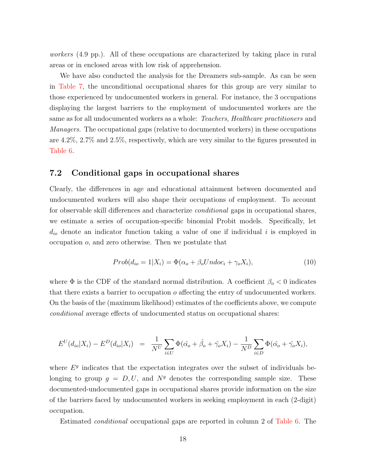workers (4.9 pp.). All of these occupations are characterized by taking place in rural areas or in enclosed areas with low risk of apprehension.

We have also conducted the analysis for the Dreamers sub-sample. As can be seen in [Table 7,](#page-32-0) the unconditional occupational shares for this group are very similar to those experienced by undocumented workers in general. For instance, the 3 occupations displaying the largest barriers to the employment of undocumented workers are the same as for all undocumented workers as a whole: Teachers, Healthcare practitioners and Managers. The occupational gaps (relative to documented workers) in these occupations are 4.2%, 2.7% and 2.5%, respectively, which are very similar to the figures presented in [Table 6.](#page-31-0)

#### 7.2 Conditional gaps in occupational shares

Clearly, the differences in age and educational attainment between documented and undocumented workers will also shape their occupations of employment. To account for observable skill differences and characterize conditional gaps in occupational shares, we estimate a series of occupation-specific binomial Probit models. Specifically, let  $d_{io}$  denote an indicator function taking a value of one if individual i is employed in occupation o, and zero otherwise. Then we postulate that

$$
Prob(d_{io} = 1 | X_i) = \Phi(\alpha_o + \beta_o Undoc_i + \gamma_o X_i), \qquad (10)
$$

where  $\Phi$  is the CDF of the standard normal distribution. A coefficient  $\beta_o < 0$  indicates that there exists a barrier to occupation  $o$  affecting the entry of undocumented workers. On the basis of the (maximum likelihood) estimates of the coefficients above, we compute conditional average effects of undocumented status on occupational shares:

$$
E^{U}(d_{io}|X_i) - E^{D}(d_{io}|X_i) = \frac{1}{N^{U}} \sum_{i \in U} \Phi(\hat{\alpha}_o + \hat{\beta}_o + \hat{\gamma}_o X_i) - \frac{1}{N^{D}} \sum_{i \in D} \Phi(\hat{\alpha}_o + \hat{\gamma}_o X_i),
$$

where  $E<sup>g</sup>$  indicates that the expectation integrates over the subset of individuals belonging to group  $g = D, U$ , and  $N<sup>g</sup>$  denotes the corresponding sample size. These documented-undocumented gaps in occupational shares provide information on the size of the barriers faced by undocumented workers in seeking employment in each (2-digit) occupation.

Estimated conditional occupational gaps are reported in column 2 of [Table 6.](#page-31-0) The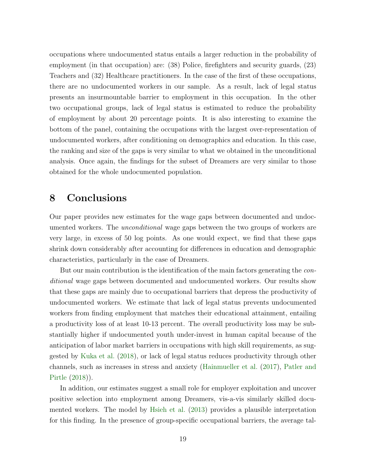occupations where undocumented status entails a larger reduction in the probability of employment (in that occupation) are: (38) Police, firefighters and security guards, (23) Teachers and (32) Healthcare practitioners. In the case of the first of these occupations, there are no undocumented workers in our sample. As a result, lack of legal status presents an insurmountable barrier to employment in this occupation. In the other two occupational groups, lack of legal status is estimated to reduce the probability of employment by about 20 percentage points. It is also interesting to examine the bottom of the panel, containing the occupations with the largest over-representation of undocumented workers, after conditioning on demographics and education. In this case, the ranking and size of the gaps is very similar to what we obtained in the unconditional analysis. Once again, the findings for the subset of Dreamers are very similar to those obtained for the whole undocumented population.

## <span id="page-21-0"></span>8 Conclusions

Our paper provides new estimates for the wage gaps between documented and undocumented workers. The unconditional wage gaps between the two groups of workers are very large, in excess of 50 log points. As one would expect, we find that these gaps shrink down considerably after accounting for differences in education and demographic characteristics, particularly in the case of Dreamers.

But our main contribution is the identification of the main factors generating the conditional wage gaps between documented and undocumented workers. Our results show that these gaps are mainly due to occupational barriers that depress the productivity of undocumented workers. We estimate that lack of legal status prevents undocumented workers from finding employment that matches their educational attainment, entailing a productivity loss of at least 10-13 percent. The overall productivity loss may be substantially higher if undocumented youth under-invest in human capital because of the anticipation of labor market barriers in occupations with high skill requirements, as suggested by [Kuka et al.](#page-24-11) [\(2018\)](#page-24-11), or lack of legal status reduces productivity through other channels, such as increases in stress and anxiety [\(Hainmueller et al.](#page-24-8) [\(2017\)](#page-24-8), [Patler and](#page-25-5) [Pirtle](#page-25-5) [\(2018\)](#page-25-5)).

In addition, our estimates suggest a small role for employer exploitation and uncover positive selection into employment among Dreamers, vis-a-vis similarly skilled documented workers. The model by [Hsieh et al.](#page-24-0) [\(2013\)](#page-24-0) provides a plausible interpretation for this finding. In the presence of group-specific occupational barriers, the average tal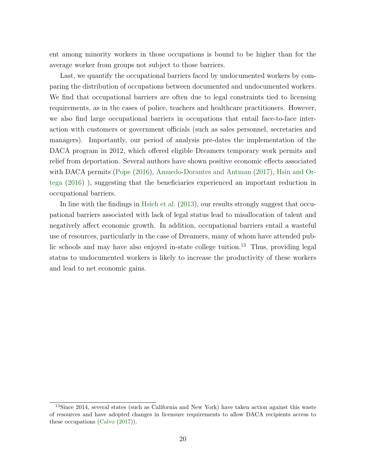ent among minority workers in those occupations is bound to be higher than for the average worker from groups not subject to those barriers.

Last, we quantify the occupational barriers faced by undocumented workers by comparing the distribution of occupations between documented and undocumented workers. We find that occupational barriers are often due to legal constraints tied to licensing requirements, as in the cases of police, teachers and healthcare practitioners. However, we also find large occupational barriers in occupations that entail face-to-face interaction with customers or government officials (such as sales personnel, secretaries and managers). Importantly, our period of analysis pre-dates the implementation of the DACA program in 2012, which offered eligible Dreamers temporary work permits and relief from deportation. Several authors have shown positive economic effects associated with DACA permits [\(Pope](#page-25-0) [\(2016\)](#page-25-0), [Amuedo-Dorantes and Antman](#page-23-1) [\(2017\)](#page-23-1), [Hsin and Or](#page-24-10)[tega](#page-24-10) [\(2016\)](#page-24-10) ), suggesting that the beneficiaries experienced an important reduction in occupational barriers.

In line with the findings in [Hsieh et al.](#page-24-0) [\(2013\)](#page-24-0), our results strongly suggest that occupational barriers associated with lack of legal status lead to misallocation of talent and negatively affect economic growth. In addition, occupational barriers entail a wasteful use of resources, particularly in the case of Dreamers, many of whom have attended public schools and may have also enjoyed in-state college tuition.<sup>13</sup> Thus, providing legal status to undocumented workers is likely to increase the productivity of these workers and lead to net economic gains.

<sup>&</sup>lt;sup>13</sup>Since 2014, several states (such as California and New York) have taken action against this waste of resources and have adopted changes in licensure requirements to allow DACA recipients access to these occupations [\(Calvo](#page-23-12) [\(2017\)](#page-23-12)).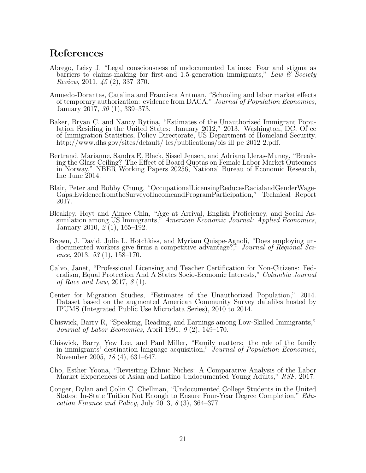## References

- <span id="page-23-0"></span>Abrego, Leisy J, "Legal consciousness of undocumented Latinos: Fear and stigma as barriers to claims-making for first-and 1.5-generation immigrants," Law  $\mathscr B$  Society Review, 2011, 45 (2), 337–370.
- <span id="page-23-1"></span>Amuedo-Dorantes, Catalina and Francisca Antman, "Schooling and labor market effects of temporary authorization: evidence from DACA," Journal of Population Economics, January 2017, 30 (1), 339–373.
- <span id="page-23-7"></span>Baker, Bryan C. and Nancy Rytina, "Estimates of the Unauthorized Immigrant Population Residing in the United States: January 2012," 2013. Washington, DC: Of ce of Immigration Statistics, Policy Directorate, US Department of Homeland Security. http://www.dhs.gov/sites/default/ les/publications/ois\_ill\_pe\_2012\_2.pdf.
- <span id="page-23-3"></span>Bertrand, Marianne, Sandra E. Black, Sissel Jensen, and Adriana Lleras-Muney, "Breaking the Glass Ceiling? The Effect of Board Quotas on Female Labor Market Outcomes in Norway," NBER Working Papers 20256, National Bureau of Economic Research, Inc June 2014.
- <span id="page-23-5"></span>Blair, Peter and Bobby Chung, "OccupationalLicensingReducesRacialandGenderWage-Gaps:EvidencefromtheSurveyofIncomeandProgramParticipation," Technical Report 2017.
- <span id="page-23-10"></span>Bleakley, Hoyt and Aimee Chin, "Age at Arrival, English Proficiency, and Social Assimilation among US Immigrants," American Economic Journal: Applied Economics, January 2010,  $2(1)$ , 165–192.
- <span id="page-23-2"></span>Brown, J. David, Julie L. Hotchkiss, and Myriam Quispe-Agnoli, "Does employing undocumented workers give firms a competitive advantage?," *Journal of Regional Sci*ence, 2013,  $53(1)$ , 158-170.
- <span id="page-23-12"></span>Calvo, Janet, "Professional Licensing and Teacher Certification for Non-Citizens: Federalism, Equal Protection And A States Socio-Economic Interests," Columbia Journal of Race and Law, 2017, 8 (1).
- <span id="page-23-6"></span>Center for Migration Studies, "Estimates of the Unauthorized Population," 2014. Dataset based on the augmented American Community Survey datafiles hosted by IPUMS (Integrated Public Use Microdata Series), 2010 to 2014.
- <span id="page-23-8"></span>Chiswick, Barry R, "Speaking, Reading, and Earnings among Low-Skilled Immigrants," Journal of Labor Economics, April 1991, 9 (2), 149–170.
- <span id="page-23-9"></span>Chiswick, Barry, Yew Lee, and Paul Miller, "Family matters: the role of the family in immigrants' destination language acquisition," Journal of Population Economics, November 2005, 18 (4), 631–647.
- <span id="page-23-4"></span>Cho, Esther Yoona, "Revisiting Ethnic Niches: A Comparative Analysis of the Labor Market Experiences of Asian and Latino Undocumented Young Adults," RSF, 2017.
- <span id="page-23-11"></span>Conger, Dylan and Colin C. Chellman, "Undocumented College Students in the United States: In-State Tuition Not Enough to Ensure Four-Year Degree Completion," Education Finance and Policy, July 2013,  $8(3)$ , 364–377.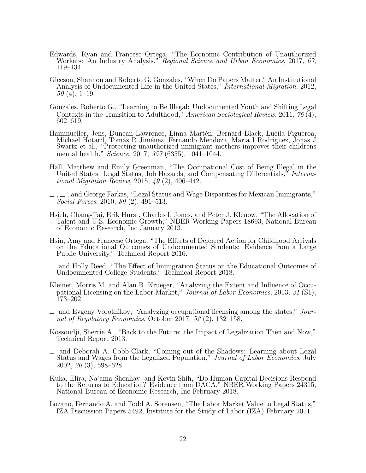- <span id="page-24-3"></span>Edwards, Ryan and Francesc Ortega, "The Economic Contribution of Unauthorized Workers: An Industry Analysis," Regional Science and Urban Economics, 2017, 67, 119–134.
- <span id="page-24-4"></span>Gleeson, Shannon and Roberto G. Gonzales, "When Do Papers Matter? An Institutional Analysis of Undocumented Life in the United States," *International Migration*, 2012,  $50(4)$ , 1-19.
- <span id="page-24-1"></span>Gonzales, Roberto G., "Learning to Be Illegal: Undocumented Youth and Shifting Legal Contexts in the Transition to Adulthood," American Sociological Review, 2011, 76 (4), 602–619.
- <span id="page-24-8"></span>Hainmueller, Jens, Duncan Lawrence, Linna Martén, Bernard Black, Lucila Figueroa, Michael Hotard, Tomás R Jiménez, Fernando Mendoza, Maria I Rodriguez, Jonas J Swartz et al., "Protecting unauthorized immigrant mothers improves their childrens mental health," Science, 2017, 357 (6355), 1041–1044.
- <span id="page-24-9"></span>Hall, Matthew and Emily Greenman, "The Occupational Cost of Being Illegal in the United States: Legal Status, Job Hazards, and Compensating Differentials," International Migration Review, 2015, 49 (2), 406–442.
- <span id="page-24-5"></span> $\ldots$ , and George Farkas, "Legal Status and Wage Disparities for Mexican Immigrants," Social Forces, 2010, 89 (2), 491–513.
- <span id="page-24-0"></span>Hsieh, Chang-Tai, Erik Hurst, Charles I. Jones, and Peter J. Klenow, "The Allocation of Talent and U.S. Economic Growth," NBER Working Papers 18693, National Bureau of Economic Research, Inc January 2013.
- <span id="page-24-10"></span>Hsin, Amy and Francesc Ortega, "The Effects of Deferred Action for Childhood Arrivals on the Educational Outcomes of Undocumented Students: Evidence from a Large Public University," Technical Report 2016.
- <span id="page-24-14"></span>and Holly Reed, "The Effect of Immigration Status on the Educational Outcomes of Undocumented College Students," Technical Report 2018.
- <span id="page-24-12"></span>Kleiner, Morris M. and Alan B. Krueger, "Analyzing the Extent and Influence of Occupational Licensing on the Labor Market," Journal of Labor Economics, 2013, 31 (S1), 173–202.
- <span id="page-24-13"></span>and Evgeny Vorotnikov, "Analyzing occupational licensing among the states," Journal of Regulatory Economics, October 2017, 52 (2), 132–158.
- <span id="page-24-2"></span>Kossoudji, Sherrie A., "Back to the Future: the Impact of Legalization Then and Now," Technical Report 2013.
- <span id="page-24-6"></span>and Deborah A. Cobb-Clark, "Coming out of the Shadows: Learning about Legal Status and Wages from the Legalized Population," Journal of Labor Economics, July 2002, 20 (3), 598–628.
- <span id="page-24-11"></span>Kuka, Elira, Na'ama Shenhav, and Kevin Shih, "Do Human Capital Decisions Respond to the Returns to Education? Evidence from DACA," NBER Working Papers 24315, National Bureau of Economic Research, Inc February 2018.
- <span id="page-24-7"></span>Lozano, Fernando A. and Todd A. Sorensen, "The Labor Market Value to Legal Status," IZA Discussion Papers 5492, Institute for the Study of Labor (IZA) February 2011.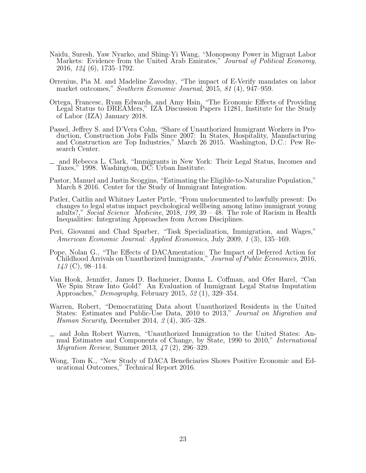- <span id="page-25-2"></span>Naidu, Suresh, Yaw Nyarko, and Shing-Yi Wang, "Monopsony Power in Migrant Labor Markets: Evidence from the United Arab Emirates," Journal of Political Economy, 2016, 124 (6), 1735–1792.
- <span id="page-25-4"></span>Orrenius, Pia M. and Madeline Zavodny, "The impact of E-Verify mandates on labor market outcomes," Southern Economic Journal, 2015, 81 (4), 947–959.
- <span id="page-25-1"></span>Ortega, Francesc, Ryan Edwards, and Amy Hsin, "The Economic Effects of Providing Legal Status to DREAMers," IZA Discussion Papers 11281, Institute for the Study of Labor (IZA) January 2018.
- <span id="page-25-9"></span>Passel, Jeffrey S. and D'Vera Cohn, "Share of Unauthorized Immigrant Workers in Production, Construction Jobs Falls Since 2007: In States, Hospitality, Manufacturing and Construction are Top Industries," March 26 2015. Washington, D.C.: Pew Research Center.
- <span id="page-25-7"></span>and Rebecca L. Clark, "Immigrants in New York: Their Legal Status, Incomes and Taxes," 1998. Washington, DC: Urban Institute.
- <span id="page-25-10"></span>Pastor, Manuel and Justin Scoggins, "Estimating the Eligible-to-Naturalize Population," March 8 2016. Center for the Study of Immigrant Integration.
- <span id="page-25-5"></span>Patler, Caitlin and Whitney Laster Pirtle, "From undocumented to lawfully present: Do changes to legal status impact psychological wellbeing among latino immigrant young adults?," Social Science Medicine, 2018, 199, 39 – 48. The role of Racism in Health Inequalities: Integrating Approaches from Across Disciplines.
- Peri, Giovanni and Chad Sparber, "Task Specialization, Immigration, and Wages," American Economic Journal: Applied Economics, July 2009, 1 (3), 135–169.
- <span id="page-25-0"></span>Pope, Nolan G., "The Effects of DACAmentation: The Impact of Deferred Action for Childhood Arrivals on Unauthorized Immigrants," Journal of Public Economics, 2016, 143 (C), 98–114.
- <span id="page-25-11"></span>Van Hook, Jennifer, James D. Bachmeier, Donna L. Coffman, and Ofer Harel, "Can We Spin Straw Into Gold? An Evaluation of Immigrant Legal Status Imputation Approaches," Demography, February 2015, 52 (1), 329–354.
- <span id="page-25-6"></span>Warren, Robert, "Democratizing Data about Unauthorized Residents in the United States: Estimates and Public-Use Data, 2010 to 2013," Journal on Migration and Human Security, December 2014, 2 (4), 305–328.
- <span id="page-25-8"></span>and John Robert Warren, "Unauthorized Immigration to the United States: Annual Estimates and Components of Change, by State, 1990 to 2010," International Migration Review, Summer 2013, 47 (2), 296–329.
- <span id="page-25-3"></span>Wong, Tom K., "New Study of DACA Beneficiaries Shows Positive Economic and Educational Outcomes," Technical Report 2016.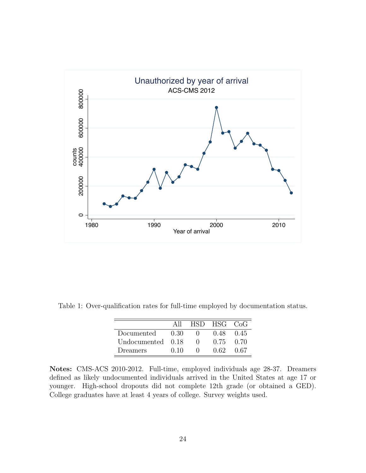<span id="page-26-0"></span>

<span id="page-26-1"></span>Table 1: Over-qualification rates for full-time employed by documentation status.

|                   | A 11  | HSD.       | HSG CoG |      |
|-------------------|-------|------------|---------|------|
| Documented        | 0.30  |            | 0.48    | 0.45 |
| Undocumented 0.18 |       | $^{\circ}$ | 0.75    | 0.70 |
| Dreamers          | 0. IO | $^{\circ}$ | 0.62    | በ 67 |

Notes: CMS-ACS 2010-2012. Full-time, employed individuals age 28-37. Dreamers defined as likely undocumented individuals arrived in the United States at age 17 or younger. High-school dropouts did not complete 12th grade (or obtained a GED). College graduates have at least 4 years of college. Survey weights used.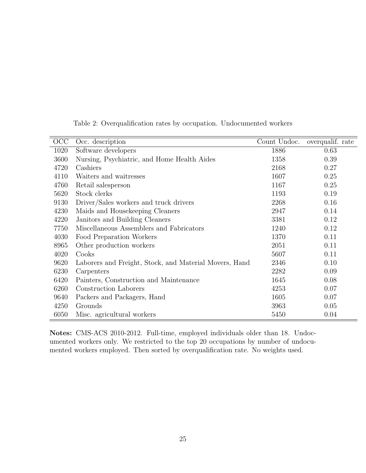<span id="page-27-0"></span>

| OCC  | Occ. description                                       | Count Undoc. | overqualif. rate |
|------|--------------------------------------------------------|--------------|------------------|
| 1020 | Software developers                                    | 1886         | 0.63             |
| 3600 | Nursing, Psychiatric, and Home Health Aides            | 1358         | 0.39             |
| 4720 | Cashiers                                               | 2168         | 0.27             |
| 4110 | Waiters and waitresses                                 | 1607         | 0.25             |
| 4760 | Retail salesperson                                     | 1167         | 0.25             |
| 5620 | Stock clerks                                           | 1193         | 0.19             |
| 9130 | Driver/Sales workers and truck drivers                 | 2268         | 0.16             |
| 4230 | Maids and Housekeeping Cleaners                        | 2947         | 0.14             |
| 4220 | Janitors and Building Cleaners                         | 3381         | 0.12             |
| 7750 | Miscellaneous Assemblers and Fabricators               | 1240         | 0.12             |
| 4030 | Food Preparation Workers                               | 1370         | 0.11             |
| 8965 | Other production workers                               | 2051         | 0.11             |
| 4020 | Cooks                                                  | 5607         | 0.11             |
| 9620 | Laborers and Freight, Stock, and Material Movers, Hand | 2346         | 0.10             |
| 6230 | Carpenters                                             | 2282         | 0.09             |
| 6420 | Painters, Construction and Maintenance                 | 1645         | 0.08             |
| 6260 | Construction Laborers                                  | 4253         | 0.07             |
| 9640 | Packers and Packagers, Hand                            | 1605         | 0.07             |
| 4250 | Grounds                                                | 3963         | 0.05             |
| 6050 | Misc. agricultural workers                             | 5450         | 0.04             |

Table 2: Overqualification rates by occupation. Undocumented workers

Notes: CMS-ACS 2010-2012. Full-time, employed individuals older than 18. Undocumented workers only. We restricted to the top 20 occupations by number of undocumented workers employed. Then sorted by overqualification rate. No weights used.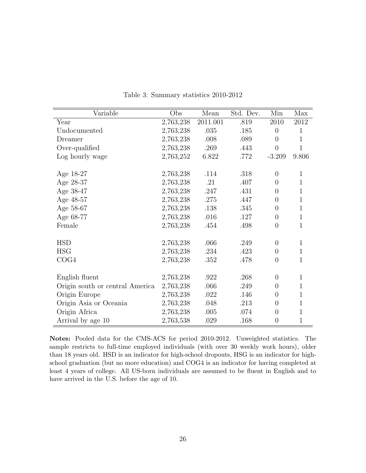<span id="page-28-0"></span>

| Variable                        | Obs       | Mean     | Std. Dev. | Min              | Max          |
|---------------------------------|-----------|----------|-----------|------------------|--------------|
| Year                            | 2,763,238 | 2011.001 | .819      | 2010             | 2012         |
| Undocumented                    | 2,763,238 | .035     | .185      | $\theta$         | $\mathbf{1}$ |
| Dreamer                         | 2,763,238 | .008     | .089      | $\overline{0}$   | $\mathbf{1}$ |
| Over-qualified                  | 2,763,238 | .269     | .443      | $\overline{0}$   | $\mathbf{1}$ |
| Log hourly wage                 | 2,763,252 | 6.822    | .772      | $-3.209$         | 9.806        |
|                                 |           |          |           |                  |              |
| Age 18-27                       | 2,763,238 | .114     | .318      | $\theta$         | $\mathbf{1}$ |
| Age 28-37                       | 2,763,238 | .21      | .407      | $\theta$         | 1            |
| Age 38-47                       | 2,763,238 | .247     | .431      | $\theta$         | 1            |
| Age 48-57                       | 2,763,238 | .275     | .447      | $\theta$         | $\mathbf{1}$ |
| Age 58-67                       | 2,763,238 | .138     | .345      | $\overline{0}$   | $\mathbf 1$  |
| Age 68-77                       | 2,763,238 | .016     | .127      | $\theta$         | $\mathbf{1}$ |
| Female                          | 2,763,238 | .454     | .498      | $\overline{0}$   | $\mathbf{1}$ |
|                                 |           |          |           |                  |              |
| <b>HSD</b>                      | 2,763,238 | .066     | .249      | $\overline{0}$   | $\mathbf{1}$ |
| <b>HSG</b>                      | 2,763,238 | .234     | .423      | $\overline{0}$   | $\mathbf{1}$ |
| COG4                            | 2,763,238 | .352     | .478      | $\overline{0}$   | $\mathbf{1}$ |
|                                 |           |          |           |                  |              |
| English fluent                  | 2,763,238 | .922     | .268      | $\theta$         | 1            |
| Origin south or central America | 2,763,238 | .066     | .249      | $\overline{0}$   | $\mathbf{1}$ |
| Origin Europe                   | 2,763,238 | .022     | .146      | $\overline{0}$   | $\mathbf{1}$ |
| Origin Asia or Oceania          | 2,763,238 | .048     | .213      | $\overline{0}$   | 1            |
| Origin Africa                   | 2,763,238 | .005     | .074      | $\theta$         | 1            |
| Arrival by age 10               | 2,763,538 | .029     | .168      | $\boldsymbol{0}$ | $\mathbf 1$  |

Table 3: Summary statistics 2010-2012

Notes: Pooled data for the CMS-ACS for period 2010-2012. Unweighted statistics. The sample restricts to full-time employed individuals (with over 30 weekly work hours), older than 18 years old. HSD is an indicator for high-school dropouts, HSG is an indicator for highschool graduation (but no more education) and COG4 is an indicator for having completed at least 4 years of college. All US-born individuals are assumed to be fluent in English and to have arrived in the U.S. before the age of 10.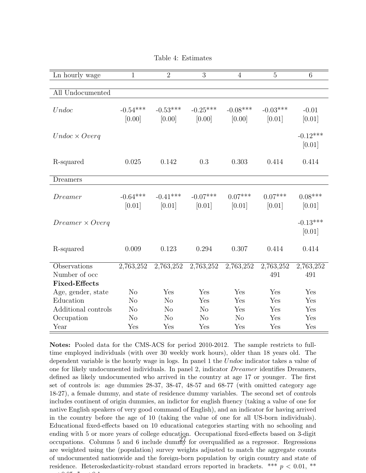<span id="page-29-0"></span>

| Ln hourly wage                                        | 1                    | $\overline{2}$       | $\overline{3}$       | $\overline{4}$       | $\overline{5}$       | 6                    |
|-------------------------------------------------------|----------------------|----------------------|----------------------|----------------------|----------------------|----------------------|
|                                                       |                      |                      |                      |                      |                      |                      |
| All Undocumented                                      |                      |                      |                      |                      |                      |                      |
| Undoc                                                 | $-0.54***$<br>[0.00] | $-0.53***$<br>[0.00] | $-0.25***$<br>[0.00] | $-0.08***$<br>[0.00] | $-0.03***$<br>[0.01] | $-0.01$<br>[0.01]    |
| $Undoc \times Overq$                                  |                      |                      |                      |                      |                      | $-0.12***$<br>[0.01] |
| R-squared                                             | 0.025                | 0.142                | 0.3                  | 0.303                | 0.414                | 0.414                |
| Dreamers                                              |                      |                      |                      |                      |                      |                      |
| Dreamer                                               | $-0.64***$<br>[0.01] | $-0.41***$<br>[0.01] | $-0.07***$<br>[0.01] | $0.07***$<br>[0.01]  | $0.07***$<br>[0.01]  | $0.08***$<br>[0.01]  |
| $Dreamer \times Overq$                                |                      |                      |                      |                      |                      | $-0.13***$<br>[0.01] |
| R-squared                                             | 0.009                | 0.123                | 0.294                | 0.307                | 0.414                | 0.414                |
| Observations<br>Number of occ<br><b>Fixed-Effects</b> | 2,763,252            | 2,763,252            | 2,763,252            | 2,763,252            | 2,763,252<br>491     | 2,763,252<br>491     |
| Age, gender, state                                    | N <sub>o</sub>       | Yes                  | Yes                  | Yes                  | Yes                  | Yes                  |
| Education                                             | N <sub>o</sub>       | N <sub>o</sub>       | Yes                  | Yes                  | Yes                  | Yes                  |
| Additional controls                                   | N <sub>o</sub>       | N <sub>o</sub>       | N <sub>o</sub>       | Yes                  | Yes                  | Yes                  |
| Occupation                                            | N <sub>o</sub>       | $\rm No$             | No                   | $\rm No$             | Yes                  | Yes                  |
| Year                                                  | Yes                  | Yes                  | Yes                  | Yes                  | Yes                  | Yes                  |

Table 4: Estimates

Notes: Pooled data for the CMS-ACS for period 2010-2012. The sample restricts to fulltime employed individuals (with over 30 weekly work hours), older than 18 years old. The dependent variable is the hourly wage in logs. In panel 1 the Undoc indicator takes a value of one for likely undocumented individuals. In panel 2, indicator Dreamer identifies Dreamers, defined as likely undocumented who arrived in the country at age 17 or younger. The first set of controls is: age dummies 28-37, 38-47, 48-57 and 68-77 (with omitted category age 18-27), a female dummy, and state of residence dummy variables. The second set of controls includes continent of origin dummies, an indictor for english fluency (taking a value of one for native English speakers of very good command of English), and an indicator for having arrived in the country before the age of 10 (taking the value of one for all US-born individuals). Educational fixed-effects based on 10 educational categories starting with no schooling and ending with 5 or more years of college education. Occupational fixed-effects based on 3-digit occupations. Columns 5 and 6 include dummy for overqualified as a regressor. Regressions are weighted using the (population) survey weights adjusted to match the aggregate counts of undocumented nationwide and the foreign-born population by origin country and state of residence. Heteroskedasticity-robust standard errors reported in brackets. \*\*\*  $p < 0.01$ , \*\*  $\rho \sim \psi$   $\sim$  0.1.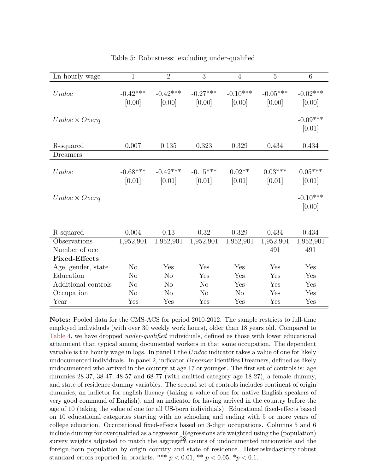<span id="page-30-0"></span>

| Ln hourly wage       | $\mathbf{1}$         | $\overline{2}$       | $\overline{3}$       | $\overline{4}$       | $\overline{5}$       | $\overline{6}$       |
|----------------------|----------------------|----------------------|----------------------|----------------------|----------------------|----------------------|
| Undoc                | $-0.42***$<br>[0.00] | $-0.42***$<br>[0.00] | $-0.27***$<br>[0.00] | $-0.10***$<br>[0.00] | $-0.05***$<br>[0.00] | $-0.02***$<br>[0.00] |
| $Undoc \times Overq$ |                      |                      |                      |                      |                      | $-0.09***$<br>[0.01] |
| R-squared            | 0.007                | 0.135                | 0.323                | 0.329                | 0.434                | 0.434                |
| Dreamers             |                      |                      |                      |                      |                      |                      |
| Undoc                | $-0.68***$<br>[0.01] | $-0.42***$<br>[0.01] | $-0.15***$<br>[0.01] | $0.02**$<br>[0.01]   | $0.03***$<br>[0.01]  | $0.05***$<br>[0.01]  |
| $Undoc \times Overq$ |                      |                      |                      |                      |                      | $-0.10***$<br>[0.00] |
| R-squared            | 0.004                | 0.13                 | 0.32                 | 0.329                | 0.434                | 0.434                |
| <b>Observations</b>  | 1,952,901            | 1,952,901            | 1,952,901            | 1,952,901            | 1,952,901            | 1,952,901            |
| Number of occ        |                      |                      |                      |                      | 491                  | 491                  |
| <b>Fixed-Effects</b> |                      |                      |                      |                      |                      |                      |
| Age, gender, state   | N <sub>o</sub>       | Yes                  | Yes                  | Yes                  | Yes                  | Yes                  |
| Education            | N <sub>o</sub>       | N <sub>o</sub>       | Yes                  | Yes                  | Yes                  | Yes                  |
| Additional controls  | N <sub>o</sub>       | N <sub>o</sub>       | N <sub>o</sub>       | Yes                  | Yes                  | Yes                  |
| Occupation           | N <sub>o</sub>       | N <sub>o</sub>       | N <sub>o</sub>       | N <sub>o</sub>       | Yes                  | Yes                  |
| Year                 | Yes                  | ${\rm Yes}$          | Yes                  | ${\rm Yes}$          | Yes                  | Yes                  |

Table 5: Robustness: excluding under-qualified

Notes: Pooled data for the CMS-ACS for period 2010-2012. The sample restricts to full-time employed individuals (with over 30 weekly work hours), older than 18 years old. Compared to [Table 4,](#page-29-0) we have dropped under-qualified individuals, defined as those with lower educational attainment than typical among documented workers in that same occupation. The dependent variable is the hourly wage in logs. In panel 1 the Undoc indicator takes a value of one for likely undocumented individuals. In panel 2, indicator *Dreamer* identifies Dreamers, defined as likely undocumented who arrived in the country at age 17 or younger. The first set of controls is: age dummies 28-37, 38-47, 48-57 and 68-77 (with omitted category age 18-27), a female dummy, and state of residence dummy variables. The second set of controls includes continent of origin dummies, an indictor for english fluency (taking a value of one for native English speakers of very good command of English), and an indicator for having arrived in the country before the age of 10 (taking the value of one for all US-born individuals). Educational fixed-effects based on 10 educational categories starting with no schooling and ending with 5 or more years of college education. Occupational fixed-effects based on 3-digit occupations. Columns 5 and 6 include dummy for overqualified as a regressor. Regressions are weighted using the (population) survey weights adjusted to match the aggregal counts of undocumented nationwide and the foreign-born population by origin country and state of residence. Heteroskedasticity-robust standard errors reported in brackets. \*\*\*  $p < 0.01$ , \*\*  $p < 0.05$ , \* $p < 0.1$ .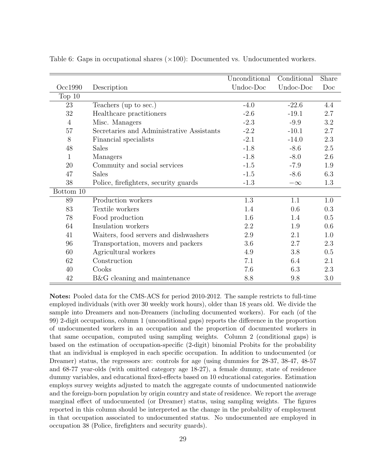|                |                                           | Unconditional | Conditional | <b>Share</b> |
|----------------|-------------------------------------------|---------------|-------------|--------------|
| Occ1990        | Description                               | Undoc-Doc     | Undoc-Doc   | Doc          |
| Top $10\,$     |                                           |               |             |              |
| 23             | Teachers (up to sec.)                     | $-4.0$        | $-22.6$     | 4.4          |
| 32             | Healthcare practitioners                  | $-2.6$        | $-19.1$     | 2.7          |
| $\overline{4}$ | Misc. Managers                            | $-2.3$        | $-9.9$      | 3.2          |
| 57             | Secretaries and Administrative Assistants | $-2.2$        | $-10.1$     | 2.7          |
| 8              | Financial specialists                     | $-2.1$        | $-14.0$     | 2.3          |
| 48             | <b>Sales</b>                              | $-1.8$        | $-8.6$      | 2.5          |
| $\mathbf{1}$   | Managers                                  | $-1.8$        | $-8.0$      | 2.6          |
| 20             | Commuity and social services              | $-1.5$        | $-7.9$      | 1.9          |
| 47             | <b>Sales</b>                              | $-1.5$        | $-8.6$      | 6.3          |
| 38             | Police, firefighters, security guards     | $-1.3$        | $-\infty$   | 1.3          |
| Bottom 10      |                                           |               |             |              |
| 89             | Production workers                        | 1.3           | 1.1         | 1.0          |
| 83             | Textile workers                           | 1.4           | 0.6         | 0.3          |
| 78             | Food production                           | 1.6           | 1.4         | 0.5          |
| 64             | Insulation workers                        | 2.2           | 1.9         | 0.6          |
| 41             | Waiters, food servers and dishwashers     | $2.9\,$       | 2.1         | 1.0          |
| 96             | Transportation, movers and packers        | 3.6           | 2.7         | 2.3          |
| 60             | Agricultural workers                      | 4.9           | 3.8         | 0.5          |
| 62             | Construction                              | 7.1           | 6.4         | 2.1          |
| 40             | Cooks                                     | 7.6           | 6.3         | 2.3          |
| 42             | B&G cleaning and maintenance              | 8.8           | 9.8         | 3.0          |

<span id="page-31-0"></span>Table 6: Gaps in occupational shares (×100): Documented vs. Undocumented workers.

Notes: Pooled data for the CMS-ACS for period 2010-2012. The sample restricts to full-time employed individuals (with over 30 weekly work hours), older than 18 years old. We divide the sample into Dreamers and non-Dreamers (including documented workers). For each (of the 99) 2-digit occupations, column 1 (unconditional gaps) reports the difference in the proportion of undocumented workers in an occupation and the proportion of documented workers in that same occupation, computed using sampling weights. Column 2 (conditional gaps) is based on the estimation of occupation-specific (2-digit) binomial Probits for the probability that an individual is employed in each specific occupation. In addition to undocumented (or Dreamer) status, the regressors are: controls for age (using dummies for 28-37, 38-47, 48-57 and 68-77 year-olds (with omitted category age 18-27), a female dummy, state of residence dummy variables, and educational fixed-effects based on 10 educational categories. Estimation employs survey weights adjusted to match the aggregate counts of undocumented nationwide and the foreign-born population by origin country and state of residence. We report the average marginal effect of undocumented (or Dreamer) status, using sampling weights. The figures reported in this column should be interpreted as the change in the probability of employment in that occupation associated to undocumented status. No undocumented are employed in occupation 38 (Police, firefighters and security guards).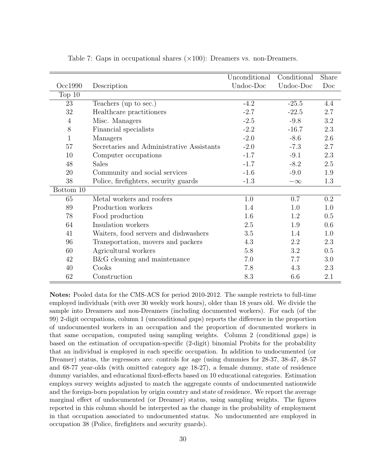|                |                                           | Unconditional | Conditional | Share |
|----------------|-------------------------------------------|---------------|-------------|-------|
| Occ1990        | Description                               | Undoc-Doc     | Undoc-Doc   | Doc   |
| Top $10$       |                                           |               |             |       |
| 23             | Teachers (up to sec.)                     | $-4.2$        | $-25.5$     | 4.4   |
| 32             | Healthcare practitioners                  | $-2.7$        | $-22.5$     | 2.7   |
| $\overline{4}$ | Misc. Managers                            | $-2.5$        | $-9.8$      | 3.2   |
| 8              | Financial specialists                     | $-2.2$        | $-16.7$     | 2.3   |
| 1              | Managers                                  | $-2.0$        | $-8.6$      | 2.6   |
| 57             | Secretaries and Administrative Assistants | $-2.0$        | $-7.3$      | 2.7   |
| 10             | Computer occupations                      | $-1.7$        | $-9.1$      | 2.3   |
| 48             | <b>Sales</b>                              | $-1.7$        | $-8.2$      | 2.5   |
| 20             | Community and social services             | $-1.6$        | $-9.0$      | 1.9   |
| 38             | Police, firefighters, security guards     | $-1.3$        | $-\infty$   | 1.3   |
| Bottom 10      |                                           |               |             |       |
| 65             | Metal workers and roofers                 | 1.0           | 0.7         | 0.2   |
| 89             | Production workers                        | 1.4           | 1.0         | 1.0   |
| 78             | Food production                           | 1.6           | 1.2         | 0.5   |
| 64             | Insulation workers                        | 2.5           | 1.9         | 0.6   |
| 41             | Waiters, food servers and dishwashers     | 3.5           | 1.4         | 1.0   |
| 96             | Transportation, movers and packers        | 4.3           | 2.2         | 2.3   |
| 60             | Agricultural workers                      | $5.8\,$       | 3.2         | 0.5   |
| 42             | B&G cleaning and maintenance              | 7.0           | 7.7         | 3.0   |
| 40             | Cooks                                     | 7.8           | 4.3         | 2.3   |
| 62             | Construction                              | 8.3           | 6.6         | 2.1   |

<span id="page-32-0"></span>Table 7: Gaps in occupational shares  $(\times 100)$ : Dreamers vs. non-Dreamers.

Notes: Pooled data for the CMS-ACS for period 2010-2012. The sample restricts to full-time employed individuals (with over 30 weekly work hours), older than 18 years old. We divide the sample into Dreamers and non-Dreamers (including documented workers). For each (of the 99) 2-digit occupations, column 1 (unconditional gaps) reports the difference in the proportion of undocumented workers in an occupation and the proportion of documented workers in that same occupation, computed using sampling weights. Column 2 (conditional gaps) is based on the estimation of occupation-specific (2-digit) binomial Probits for the probability that an individual is employed in each specific occupation. In addition to undocumented (or Dreamer) status, the regressors are: controls for age (using dummies for 28-37, 38-47, 48-57 and 68-77 year-olds (with omitted category age 18-27), a female dummy, state of residence dummy variables, and educational fixed-effects based on 10 educational categories. Estimation employs survey weights adjusted to match the aggregate counts of undocumented nationwide and the foreign-born population by origin country and state of residence. We report the average marginal effect of undocumented (or Dreamer) status, using sampling weights. The figures reported in this column should be interpreted as the change in the probability of employment in that occupation associated to undocumented status. No undocumented are employed in occupation 38 (Police, firefighters and security guards).